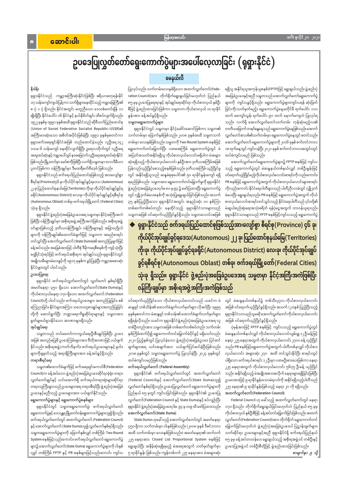## အင်္ဂါ၊ ဇူလိုင် ၂၀၊ ၂၀၂၁

# ဥပဒေပြုလွတ်တော်ရွေးကောက်ပွဲများအပေါ်လေ့လာခြင်း (ရုရှားနိုင်ငံ)

# မေနယ်လီ

# နိဒါန်း

 $\bullet$ 

ပြုလုပ်သည်။ သက်တမ်းလေးနှစ်ရှိသော အထက်လွှတ်တော်(Fede– ရုရှားနိုင်ငံသည် ကမ္ဘာ့အကြီးဆုံးနိုင်ငံဖြစ်ပြီး ဧရိယာစတုရန်းမိုင် ration Council)အား တိုက်ရိုက်ရွေးချယ်ခြင်းမဟုတ်ဘဲ ပြည်နယ် ၈၅ ခုမှ ဥပဒေပြုရေးရာနှင့် အုပ်ချုပ်ရေးဆိုင်ရာ ကိုယ်စားလှယ် နှစ်ဦး စီဖြင့် ဖွဲ့စည်းထားခြင်းဖြစ်ကာ သမ္မတက ကိုယ်စားလှယ် ၁၀ ရာခိုင် နူန်းအား ခန့်အပ်ခွင့်ရှိသည်။ သမ္မတရွေးကောက်ပွဲများ

> ရုရှားနိုင်ငံတွင် သမ္မတမှာ နိုင်ငံ့ခေါင်းဆောင်ဖြစ်ကာ သမ္မတ၏ သက်တမ်းမှာ ခြောက်နှစ်ဖြစ်သည်။ ၂၀၀၈ ခုနှစ်အထိ သမ္မတသက် တမ်းမှာ လေးနှစ်ဖြစ်သည်။ သမ္မတကို Two Round System စနစ်ဖြင့် ရွေးကောက်တင်မြှောက်ပြီး ပထမအကြိမ် ရွေးကောက်ပွဲတွင် မဲ အပြတ်အသတ်အနိုင်ရရှိသူ ကိုယ်စားလှယ်လောင်းမရှိပါက မဲအများ ဆုံးရရှိသည့် ကိုယ်စားလှယ်လောင်း နှစ်ဦးအား ဒုတိယအကြိမ်အဖြစ် ပြန်လည်ယှဉ်ပြိုင်စေသည့်စနစ်ဖြစ်သည်။ ဒုတိယအကြိမ် ယှဉ်ပြိုင်မှု တွင် အနိုင်ရရှိသူသည် ဆန္ဒမဲစုစုပေါင်း၏ ၅၀ ရာခိုင်နူန်းကျော် ရရှိ ရမည်ဖြစ်သည်။ သမ္မတအား ရွေးကောက်တင်မြှောက်မှုကို ရုရှားနိုင်ငံ ဖွဲ့ စည်းပုံအခြေခံဥပဒေပုဒ်မ ၈၀ မှ ၉၃ ၌ ဖော်ပြထားပြီး ရွေးကောက်ပွဲ တွင် လျှို့ဝှက်မဲပေးစနစ်ကို အသုံးပြုရွေးချယ်ခြင်းဖြစ်သည်။ အသက် ၃၅ နှစ်ပြည့်ပြီးသော ရုရှားနိုင်ငံအတွင်း အနည်းဆုံး ၁၀ နှစ်ကြာ တစ်ဆက်တစ်စပ်တည်း နေထိုင်သည့် ရုရှားနိုင်ငံသားများသည် သမ္မတအဖြစ် ဝင်ရောက်ယှဉ်ပြိုင်ခွင့်ရှိသည်။ သမ္မတလောင်းအဖြစ်

ရရှိသူ အနိုင်ရသူအကုန်ယူစနစ်(FPTP)ဖြင့် ရွေးချယ်သည်။ ဖွဲ့စည်းပုံ အခြေခံဥပဒေနှင့်အညီ သမ္မတသည် အောက်လွှတ်တော်ရွေးကောက်ပွဲ များကို ကျင်းပခွင့်ရှိသည်။ ရွေးကောက်ပွဲများကျင်းပရန် ဆုံးဖြတ် ခြင်းကို(သတ်မှတ်မည့်) ရွေးကောက်ပွဲနေ့မတိုင်မီ ရက်ပေါင်း ၁၁၀ ထက် မကျော်လွန်၊ ရက်ပေါင်း ၉၀ ထက် နောက်မကျဘဲ ပြုလုပ်ရ သည်။ လက်ရှိ အောက်လွှတ်တော်သက်တမ်း ကုန်ဆုံးမည့်လ၏ တတိယမြောက် တနင်္ဂနွေနေ့သည် ရွေးကောက်ပွဲနေ့ဖြစ်သည်။ အောက် လွှတ်တော်အသစ်၏သက်တမ်းမှာ ရွေးကောက်ပွဲနေ့တွင် စတင်သည်။ အောက်လွှတ်တော် ရွေးကောက်ပွဲများကို ၂၀၁၆ ခုနှစ် စက်တင်ဘာလ ၁၈ ရက်နေ့တွင် ကျင်းပခဲ့ပြီး ၂၀၂၁ ခုနှစ် စက်တင်ဘာလအတွင်းတွင် ထပ်မံကျင်းပမည် ဖြစ်သည်။

အောက်လွှတ်တော်ရွေးကောက်ပွဲများ၌ FPTP စနစ်ဖြင့် ကျင်းပ သည့် ရွေးကောက်ပွဲတွင် မဲဆန္ဒနယ်တစ်နယ်လျှင် တစ်ဦးနူန်းဖြင့် ဝင်ရောက်ယှဉ်ပြိုင်မည့်ကိုယ်စားလှယ်လောင်းစာရင်းကို လည်းကောင်း၊ PR စနစ်ဖြင့် ရွေးကောက်ပွဲအတွက် ကိုယ်စားလှယ်လောင်းများစာရင်း .<br>ကိုလည်းကောင်း နိုင်ငံရေးပါတီများသည် ပါတီညီလာခံတွင် လျှို့ဝှက် မဲပေးပြီး ရွေးချယ်ရသည်။ PR စနစ်ဖြင့် ရွေးကောက်ပွဲအတွက် ကိုယ် စားလှယ်လောင်းစာရင်းတင်သွင်းသည့် နိုင်ငံရေးပါတီသည် ၎င်းတို့၏ မဲဆွယ်စည်းရုံးရေးအသုံးစရိတ် ရန်ပုံငွေအတွက် တာဝန်ယူရသည်။ ရုရှားနိုင်ငံသားများသည် FPTP စနစ်ဖြင့်ကျင်းပသည့် ရွေးကောက်ပွဲ

ရုရှားနိုင်ငံသည် ဖက်ဒရယ်ပြည်ထောင်စုဖြစ်သည့်အားလျော်စွာ စီရင်စု(Province) ၄၆ ခု၊ ကိုယ်ပိုင်အုပ်ချုပ်ခွင့်ရဒေသ(Autonomous) ၂၂ ခု၊ ပြည်ထောင်စုနယ်မြေ(Territories) ကိုးခု၊ ကိုယ်ပိုင်အုပ်ချုပ်ခွင့်ရခရိုင်(Autonomous District) လေးခု၊ ကိုယ်ပိုင်အုပ်ချုပ် ခွင့်ရစီရင်စု(Autonomous Oblast) တစ်ခု၊ ဖက်ဒရယ်မြို့တော်(Federal Cities) သုံးခု ရှိသည်။ ရုရှားနိုင်ငံ ဖွဲ့စည်းပုံအခြေခံဥပဒေအရ သမ္မတမှာ နိုင်ငံ့အကြီးအကဲဖြစ်ပြီး ဝန်ကြီးချုပ်မှာ အစိုးရအဖွဲ့အကြီးအကဲဖြစ်သည်

ဝင်ရောက်ယှဉ်ပြိုင်သော ကိုယ်စားလှယ်လောင်းသည် ယခင်က မဲ ဆန္ဒရှင် တစ်သိန်း၏ ထောက်ခံချက်လက်မှတ်များ လိုအပ်ပြီး ၁၉၉၅ ခုနှစ်မှစတင်ကာ မဲဆန္ဒရှင် တစ်သန်း၏ ထောက်ခံချက်လက်မှတ်များ ရရှိရန်လိုသည်။ ယခင်က ရုရှားနိုင်ငံဖွဲ့ စည်းပုံအခြေခံဥပဒေအရ လူ တစ်ဦးတည်းအား သမ္မတအဖြစ် တစ်ဆက်တစ်စပ်တည်း သက်တမ်း နှစ်ကြိမ်ထက်ပို၍ ရွေးကောက်တင်မြှောက်ခံပိုင်ခွင့် မရှိသော်လည်း ၂၀၂၀ ပြည့်နှစ်တွင် ပြုလုပ်ခဲ့သော ဖွဲ့စည်းပုံအခြေခံဥပဒေ ပြင်ဆင် ချက်များအရ ယင်းအချက်အား ပယ်ဖျက်ပြင်ဆင်ခဲ့ပြီးဖြစ်သည်။ ၂၀၁၈ ခုနှစ်တွင် သမ္မတရွေးကောက်ပွဲ ပြုလုပ်ခဲ့ပြီး ၂၀၂၄ ခုနှစ်တွင် ထပ်မံကျင်းပမည်ဖြစ်သည်။

ဖက်ဒရယ်လွှတ်တော် (Federal Assembly)

တွင် မဲဆန္ဒနယ်တစ်နယ်၌ တစ်သီးပုဂ္ဂလ ကိုယ်စားလှယ်လောင်း အဖြစ် ဝင်ရောက်ယှဉ်ပြိုင်ခွင့်ရှိသည်။ အသက် (၂၁)နှစ် ပြည့်ပြီးသည့် ရုရှားနိုင်ငံသား မည်သူမဆို အောက်လွှတ်တော် ကိုယ်စားလှယ်လောင်း အဖြစ် ဝင်ရောက်ယှဉ်ပြိုင်ခွင့်ရှိသည်။

ပုံမှန်အားဖြင့် FPTP စနစ်ဖြင့် ကျင်းပသည့် ရွေးကောက်ပွဲတွင် မဲဆန္ဒနယ်တစ်နယ်လျှင် ကိုယ်စားလှယ်လောင်းပျမ်းမျှ ၁၂ ဦးခန့်ဖြင့် နေရာ ၂၂၅ နေရာအတွက် ကိုယ်စားလှယ်လောင်း ၂၇၀၀ ခန့် ယှဉ်ပြိုင် သည်။ PR စနစ်ဖြင့်ရွေးကောက်ပွဲအတွက် ပါတီတစ်ခုလျှင် ကိုယ်စား လှယ်လောင်း အများဆုံး ၂၇၀ အထိ တင်သွင်းနိုင်ပြီး စာရင်းတွင် ပါရှိသော ဖက်ဒရယ်စာရင်း ၁၂ ဦးမှာ ပထမဦးစားပေးဖြစ်ကာ နေရာ ၂၂၅ နေရာအတွက် ကိုယ်စားလှယ်လောင်း ၅၆၇၅ ဦးခန့် ယှဉ်ပြိုင်

၁၇ သန်းကျော်ကျယ်ပြန့်ကာ သက်ရှိများနေထိုင်သည့် ကမ္ဘာမြေကြီး၏ ၈ ပုံ ၁ ပုံ ရှိသည်။ နိုင်ငံအတွင်း မတူညီသော ဒေသစံတော်ချိန် ၁၁ မျိုးရှိပြီး နိုင်ငံပေါင်း ၁၆ နိုင်ငံနှင့် နယ်နိမိတ်ချင်း ထိစပ်လျက်ရှိသည်။ ၁၉၂၂ ခုနှစ်မှ ၁၉၉၁ ခုနှစ်အထိ ရုရှားနိုင်ငံသည် ဆိုဗီယက်ပြည်ထောင်စု (Union of Soviet Federative Socialist Republic-USSR) ၏ အကြီးမားဆုံးသော အစိတ်အပိုင်းဖြစ်ခဲ့ပြီး ၁၉၉၁ ခုနှစ်မှစတင်ကာ ရုရှားဖက်ဒရေးရှင်းနိုင်ငံအဖြစ် တည်ထောင်ခဲ့သည်။ လူဦးရေ ၁၄၂ ဒသမ ၆ သန်းကျော် နေထိုင်လျက်ရှိပြီး ဥရောပတိုက်တွင် လူဦးရေ အထူထပ်ဆုံးနှင့်ကမ္ဘာပေါ်တွင်နဝမမြောက်လူဦးရေအထူထပ်ဆုံးနိုင်ငံ ဖြစ်သည်။ မြို့တော်မှာ မော်စကိုဖြစ်ပြီး လက်ရှိသမ္မတမှာ ဗလာဒီမီယာ ပူတင်ဖြစ်ကာ ဝန်ကြီးချုပ်မှာ ဒီမထရီမက်ဗီဒေ့ဗ် ဖြစ်သည်။ ရုရှားနိုင်ငံသည် ဖက်ဒရယ်ပြည်ထောင်စုဖြစ်သည့် အားလျော်စွာ

စီရင်စု(Province)၄၆ ခု၊ ကိုယ်ပိုင်အုပ်ချုပ်ခွင့်ရဒေသ (Autonomous) ၂၂ ခု၊ ပြည်ထောင်စုနယ်မြေ(Territories) ကိုးခု၊ ကိုယ်ပိုင်အုပ်ချုပ်ခွင့်ရ ခရိုင်(Autonomous District) လေးခု၊ ကိုယ်ပိုင်အုပ်ချုပ်ခွင့်ရစီရင်စု (Autonomous Oblast) တစ်ခု၊ ဖက်ဒရယ်မြို့တော် (Federal Cities) သုံးခု ရှိသည်။

ရုရှားနိုင်ငံ ဖွဲ့စည်းပုံအခြေခံဥပဒေအရ သမ္မတမှာ နိုင်ငံ့အကြီးအကဲ ဖြစ်ပြီး ဝန်ကြီးချုပ်မှာ အစိုးရအဖွဲ့ အကြီးအကဲဖြစ်သည်။ အစိုးရအဖွဲ့ ဝင်များဖြစ်သည့် ဒုတိယဝန်ကြီးချုပ်၊ ဝန်ကြီးများနှင့် အခြားပုဂ္ဂိုလ် များကို ဝန်ကြီးချုပ်၏ထောက်ခံချက်ဖြင့် သမ္မတက အမည်စာရင်း တင်သွင်းပြီး အောက်လွှတ်တော် (State Duma)၏ အတည်ပြုချက်ဖြင့် ခန့်အပ်သည်။ အခြေခံအားဖြင့် ပါတီစုံ ဒီမိုကရေစီစနစ်ကို ကျင့်သုံးပြီး မဏ္ဍိုင်သုံးရပ်ဖြင့် ဖက်ဒရယ်အစိုးရက အုပ်ချုပ်သည်။ ရုရှားနိုင်ငံတွင် အမျိုးသမီးများမဲပေးခွင့်ကို ၁၉၁၇ ခုနှစ်က ခွင့်ပြုခဲ့ပြီး ကမ္ဘာ့အစောဆုံး နိုင်ငံများတွင် ပါဝင်သည်။

## ဥပဒေပြုရေး

ရုရှားနိုင်ငံ ဖက်ဒရယ်လွှတ်တော်တွင် လွှတ်တော် နှစ်ရပ်ရှိပြီး အမတ်နေရာ ၄၅၀ ရှိသော အောက်လွှတ်တော်(State Duma)နှင့် ကိုယ်စားလှယ်နေရာ ၁၇၀ ရှိသော အထက်လွှတ်တော် (Federation Council)တို့ ပါဝင်သည်။ ဖက်ဒရယ်ဥပဒေများ အတည်ပြုခြင်း၊ စစ် ကြေညာခြင်း၊ နိုင်ငံများအကြား သဘောတူစာချုပ်များအတည်ပြုခြင်း တို့ကို ဆောင်ရွက်ပြီး ဘဏ္ဍာရေးကိစ္စဆိုင်ရာများနှင့် သမ္မတအား ရှုတ်ချဖယ်ရှားနိုင်သော အာဏာများရှိသည်။ အုပ်ချုပ်ရေး

သမ္မတသည် တပ်မတော်ကာကွယ်ရေးဦးစီးချုပ်ဖြစ်ပြီး ဥပဒေ အဖြစ် အတည်မပြုမီ ဥပဒေကြမ်းများအား ဗီတိုအာဏာဖြင့် ပယ်ဖျက် နိုင်သည်။ အစိုးရအဖွဲ့ (ကတ်ဘိနက်)၊ ဖက်ဒရယ်ဥပဒေများနှင့် မူဝါဒ များကိုချမှတ်သည့် အရာရှိကြီးများအား ခန့်အပ်ခွင့်ရှိသည်။ တရားစီရင်ရေး

သမ္မတ၏ထောက်ခံချက်ဖြင့် ဖက်ဒရေးရှင်းကောင်စီ(Federation

| Council)က ခန့်အပ်သော ဖွဲ့စည်းပုံအခြေခံဥပဒေဆိုင်ရာခုံရုံး၊ တရား   | ရုရှားနိုင်ငံ၏ ဖက်ဒရယ်လွှတ်တော်တွင် အထက်လွှတ်တော်                   | သည်။ အနိုင်ရရှိသည့် မဲအချိုးအစားအလိုက် နေရာများရရှိခြင်းဖြစ်ပြီး |
|------------------------------------------------------------------|---------------------------------------------------------------------|------------------------------------------------------------------|
| လွှတ်တော်ချုပ်နှင့် ယင်းအောက်ရှိ ဖက်ဒရယ်တရားရုံးများဆိုင်ရာ      | (Federal Council)နှင့် အောက်လွှတ်တော်(State Duma)ဟူ၍                | ဥပမာအားဖြင့် ၉ ရာခိုင်နှုန်းသောမဲရလဒ်ကို အနိုင်ရရှိသည့်ပါတီသည်   |
| တရားသူကြီးများသည် ဥပဒေများအရ တရားစီရင်ပြီး ဖွဲ့ စည်းပုံအခြေခံ    | လွှတ်တော်နှစ်ရပ်ရှိသည်။ ဥပဒေပြုလွှတ်တော် ရွေးကောက်ပွဲများကို        | ၂၂၅ နေရာ၏ ၉ ရာခိုင်နှုန်းဖြစ်သည့် နေရာ ၂၀ ကို ရရှိသည်။           |
| ဥပဒေနှင့်မညီသည့် ဥပဒေများအား ပယ်ဖျက်နိုင်သည်။                    | ပြည်နယ် ၈၅ ခုတွင် ကျင်းပခြင်းဖြစ်သည်။ ရုရှားနိုင်ငံ၏ ဥပဒေပြု        | အထက်လွှတ်တော်(Federation Council)                                |
| ရွေးကောက်ပွဲများနှင့် ရွေးကောက်ပွဲစနစ်များ                       | လွှတ်တော်(Federation Council နှင့် State Duma)နှင့် စပ်လျဉ်းပြီး    | Federal Council ဟု ခေါ်သည့် အထက်လွှတ်တော်တွင် နေရာ               |
| ရုရှားနိုင်ငံတွင် သမ္မတရွေးကောက်ပွဲ၊ ဖက်ဒရယ်လွှတ်တော်            | ရုရှားနိုင်ငံ ဖွဲ့စည်းပုံအခြေခံဥပဒေပုဒ်မ ၉၄ မှ ၁၀၉ ထိ ဖော်ပြထားသည်။ | ၁၇၀ ရှိသည်။ တိုက်ရိုက်ရွေးချယ်ခြင်းမဟုတ်ဘဲ ပြည်နယ် ၈၅ ခုမှ       |
| ရွေးကောက်ပွဲနှင့် ဒေသန္တရမြို့တော်ဝန်ရွေးကောက်ပွဲများဟူ၍ ရှိသည်။ | အောက်လွှတ်တော်(State Duma)                                          | ကိုယ်စားလှယ် နှစ်ဦးစီဖြင့် ခန့်အပ်တင်မြှောက်ခြင်းဖြစ်သည်။ အထက်   |
| ဖက်ဒရယ်လွှတ်တော်တွင် အထက်လွှတ်တော် (Federation Council)          | State Duma ဟုခေါ်သည့် အောက်လွှတ်တော်တွင် အမတ်နေရာ                   | လွှတ်တော်(Federation Council)အား တိုက်ရိုက် ရွေးကောက်တင်         |
| နှင့် အောက်လွှတ်တော် (State Duma)ဟူ၍ လွှတ်တော်နှစ်ရပ်ရှိသည်။     | ၄၅၀ ရှိကာ သက်တမ်းမှာ ငါးနှစ်ဖြစ်သည်။ (၂၀၀၈ ခုနှစ် ဒီဇင်ဘာလ          | မြှောက်ခြင်းမဟုတ်ဘဲ ဖွဲ့စည်းပုံအခြေခံဥပဒေပါ ပြဋ္ဌာန်းချက်များ၊   |
| သမ္မတရွေးကောက်ပွဲများကို ခြောက်နှစ်လျှင် တစ်ကြိမ် Two Round      | အထိ သက်တမ်းမှာ လေးနှစ်ဖြစ်သည်။) အမတ်နေရာ၏ ထက်ဝက်                    | သက်ဆိုင်ရာ ဥပဒေများနှင့်အညီ ရုရှားနိုင်ငံရှိ ဖက်ဒရယ်ပြည်နယ်      |
| System စနစ်ဖြင့်လည်းကောင်း၊ ဖက်ဒရယ်လွှတ်တော် ရွေးကောက်ပွဲ        | ၂၂၅ နေရာအား Closed List Proportional System စနစ်ဖြင့်               | ၈၅ ခုမှ ခန့်အပ်တာဝန်ပေး ရွေးချယ်သည့် အစိုးရအဖွဲ့ ဝင် တစ်ဦးနှင့်  |
| များ၌ အောက်လွှတ်တော်(State Duma) ရွေးကောက်ပွဲများကို ငါးနှစ်     | ရွေးချယ်ပြီး အနိမ့်ဆုံးရရှိရမည့် မဲအရေအတွက် သတ်မှတ်ချက်မှာ          | ဥပဒေပြုအဖွဲ့ ဝင် တစ်ဦးစီတို့ဖြင့် ဖွဲ့ စည်းထားခြင်းဖြစ်သည်။      |
| လျှင် တစ်ကြိမ် FPTP နှင့် PR စနစ်များဖြင့်လည်းကောင်း ကျင်းပ      | ၅ ရာခိုင်နှုန်း ဖြစ်သည်။ ကျန်တစ်ဝက် ၂၂၅ နေရာအား မဲအများဆုံး         | စာမျက်နှာ ၉ သို့                                                 |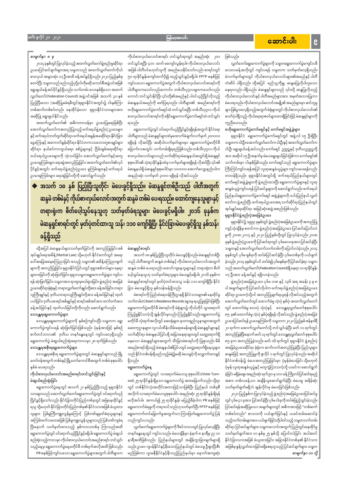# အောင်းပါး

 $\mathbf{g}$ 

#### မြန်မာ့အလင်း

တင်သွင်းရပြီး ၄၀၀ ထက် မကျော်လွန်ရပါ။ ကိုယ်စားလှယ်လောင်း

အဖြစ် ပါတီဝင်မဟုတ်သူကို အမည်ပေးနိုင်သော်လည်း စာရင်းတွင်

၅၀ ရာခိုင်နှုန်းကျော်ထက်ပို၍ ထည့်သွင်းခွင့်မရှိပါ။ FPTP စနစ်ဖြင့်

ကျင်းပသော ရွေးကောက်ပွဲအတွက် ကိုယ်စားလှယ်လောင်းစာရင်းကို

ပါတီများကသော်လည်းကောင်း၊ တစ်သီးပုဂ္ဂလများကသော်လည်း ကောင်း တင်သွင်းနိုင်ပြီး ၎င်းတို့၏အမည်နှင့် ပါဝင်ယှဉ်ပြိုင်လိုသည့်

မဲဆန္ဒနယ်အမည်ကို ဖော်ပြရသည်။ ပါတီများ၏ အမည်စာရင်းကို

ဗဟိုရွေးကောက်ပွဲကော်မရှင်ထံ တင်သွင်းရပြီး တစ်သီးပုဂ္ဂလ ကိုယ်

စားလှယ်လောင်းစာရင်းကို ခရိုင်ရွေးကောက်ပွဲကော်မရှင်ထံ တင်သွင်း

ပါတီများသည် မဲဆန္ဒရှင်များထံမှထောက်ခံချက်လက်မှတ်၂၀၀၀၀၀

ရရှိရန် လိုအပ်ပြီး အဆိုပါလက်မှတ်များမှာ ရွေးကောက်ပွဲမတိုင်မီ

ခြောက်လအတွင်း သက်တမ်းရှိရမည်ဖြစ်သည်။ တစ်သီးပုဂ္ဂလ ကိုယ်

စားလှယ်လောင်းများသည် သက်ဆိုင်ရာမဲဆန္ဒနယ်အတွင်းရှိမဲဆန္ဒရှင်

စုစုပေါင်း၏ သုံးရာခိုင်နှုန်းထံမှ လက်မှတ်များရရှိရန် လိုအပ်ပြီး ၎င်း၏

မဲဆန္ဒနယ်ရှိ မဲဆန္ဒရှင်စုစုပေါင်းမှာ ၁၀၀၀၀၀ အောက်လျော့နည်းပါက

အနည်းဆုံး လက်မှတ် ၃၀၀၀ ရရှိရန် လိုအပ်သည်။

ရွေးကောက်ပွဲတွင် ဝင်ရောက်ယှဉ်ပြိုင်ခွင့်ရရှိရန်အတွက် နိုင်ငံရေး

### အင်္ဂါ၊ ဇူလိုင် ၂၀၊ ၂၀၂၁

## ကိုယ်စားလှယ်လောင်းစာရင်း တင်သွင်းရာတွင် အနည်းဆုံး ၂၀၀

## စာမျက်နှာ ၈ မှ

၂၀၁၄ ခုနှစ်တွင်ပြုလုပ်ခဲ့သည့်အထက်လွှတ်တော်ဖွဲ့ စည်းမှုဆိုင်ရာ ဥပဒေပြင်ဆင်ချက်များအရ သမ္မတသည် အထက်လွှတ်တော်ကိုယ် စားလှယ် အများဆုံး ၁၇ ဦးအထိ ခန့်အပ်ခွင့်ရှိသည်။ ၂၀၂၀ ပြည့်နှစ်မှ စတင်ပြီး သမ္မတသည် မည်သည့်ပုဂ္ဂိုလ်ကိုမဆို ကောင်စီအဖွဲ့ ဝင်အဖြစ် ရွေးချယ်ခန့်အပ်ပိုင်ခွင့်ရှိသည်။ သက်တမ်း လေးနှစ်ရှိသော အထက် လွှတ်တော်(Federation Council) အဖွဲ့ ဝင်အဖြစ် အသက် ၃၀ နှစ် ပြည့်ပြီးသော (အဆိုပြုမခံရမီတွင်)ရုရှားနိုင်ငံအတွင်း၌ ငါးနှစ်ကြာ တစ်ဆက်တစ်စပ်တည်း နေထိုင်ခဲ့သော ရုရှားနိုင်ငံသားများအား အဆိုပြု ရွေးချယ်နိုင်သည်။

အထက်လွှတ်တော်၏ အဓိကတာဝန်မှာ ဥပဒေပြုရေးဖြစ်ပြီး အောက်လွှတ်တော်ကအတည်ပြုသည့် ဖက်ဒရယ်ဖွဲ့ စည်းပုံ ဥပဒေများ နှင့် ဖက်ဒရယ်ဘတ်ဂျက်ဆိုင်ရာ၊ ဖက်ဒရယ်အခွန်အခဆိုင်ရာ၊ နိုင်ငံခြား ငွေကြေးနှင့် အကောက်ခွန်ဆိုင်ရာ၊ နိုင်ငံတကာသဘောတူစာချုပ်များ ဆိုင်ရာ၊ နယ်စပ်ကာကွယ်ရေး၊ စစ်ပွဲများနှင့် ငြိမ်းချမ်းရေးဆိုင်ရာ ဖယ်ဒရယ်ဥပဒေများကို သုံးသပ်ခြင်း၊ အောက်လွှတ်တော်နှင့်အတူ ဥပဒေမူကြမ်းများ ရေးဆွဲအတည်ပြုခြင်း၊ အထက်လွှတ်တော်၏လုပ် ပိုင်ခွင့်အတွင်း ဖက်ဒရယ်ဖွဲ့စည်းပုံဥပဒေ မူကြမ်းများနှင့် ဖက်ဒရယ် ဥပဒေမူကြမ်းများ ရေးဆွဲခြင်းတို့ကို ဆောင်ရွက်သည်။

 $\blacklozenge$  အသက် ၁၈ နှစ် ပြည့်ပြီးသူတိုင်း မဲပေးခွင့်ရှိသည်။ မဲဆန္ဒရှင်တစ်ဦးသည် ပါတီအတွက် ဆန္ဒမဲ တစ်မဲနှင့် ကိုယ်စားလှယ်လောင်းအတွက် ဆန္ဒမဲ တစ်မဲ ပေးရသည်။ ထောင်ကျနေသူများနှင့် တရားရုံးက စိတ်ပေါ့သွပ်နေသူဟု သတ်မှတ်ခံရသူများ မဲပေးခွင့်မရှိပါ။ ၂၀၁၆ ခုနှစ်က မဲဆန္ဒရှင်စာရင်းတွင် မှတ်ပုံတင်ထားသူ သန်း ၁၁၀ ကျော်ရှိပြီး နိုင်ငံခြားမဲပေးခွင့်ရှိသူ နှစ်သန်း ခန့်ရှိသည်

ရသည်။

မဲဆန္ဒရှင်စာရင်း

အသက် ၁၈ နှစ်ပြည့်ပြီးသူတိုင်း မဲပေးခွင့်ရှိသည်။ မဲဆန္ဒရှင်တစ်ဦး သည် ပါတီအတွက် ဆန္ဒမဲ တစ်မဲနှင့် ကိုယ်စားလှယ်လောင်းအတွက် ဆန္ဒမဲ တစ်မဲ ပေးရသည်။ ထောင်ကျနေသူများနှင့် တရားရုံးက စိတ် ပေ့ါသွပ်နေသူဟု သတ်မှတ်ခံရသူများ မဲပေးခွင့်မရှိပါ။၂၀၁၆ ခုနှစ်က မဲဆန္ဒရှင်စာရင်းတွင် မှတ်ပုံတင်ထားသူ သန်း ၁၁၀ ကျော်ရှိပြီး နိုင်ငံ ခြား မဲပေးခွင့်ရှိသူ နှစ်သန်းခန့်ရှိသည်။

မဲစာရင်းကို ပြည်ထဲရေးဝန်ကြီးဌာနရှိ နိုင်ငံသားများ၏ နေထိုင်မှု သက်တမ်း(Citizen's Residence Records )များမှ ရယူပြုစုခြင်းဖြစ်ပြီး ရွေးကောက်ပွဲမတိုင်မီ မဲစာရင်းကို မဲရုံများ၌ ကိုယ်တိုင် သွားရောက် ကြည့်ရှုနိုင်သကဲ့သို့ အွန်လိုင်းမှလည်း ကြည့်ရှုနိုင်သည်။ ရွေးကောက်ပွဲ မတိုင်မီ သုံးရက်အလိုတွင် ဆေးရုံများ၊ နာတာရှည်လူနာများအတွက် ဆေးကုဌာနများ၊ လူငယ်ထိန်းသိမ်းရေးစခန်းများရှိ မဲဆန္ဒရှင်များနှင့် သက်ဆိုင်ရာ မဲဆန္ဒနယ်ပြင်ပရို အခြားနေရာများတွင် ခေတ္တရောက်ရှိ နေသော မဲဆန္ဒရှင်များအတွက် သီးခြားမဲစာရင်းကို ပြုစုသည်။ မိမိ အမည်စာရင်းရှိသည့် မဲဆန္ဒနယ်၏ပြင်ပတွင် ခေတ္တရောက်ရှိနေသူများ သည် နိုင်ငံတစ်ဝန်းရှိ မည်သည့်မဲရုံ၌မဆို မဲပေးခွင့်ကို လျှောက်ထားခွင့် ရှိသည်။

ရွေးကောက်ပွဲနေ့

ဖြစ်သည်။

လွှတ်တော်ရွေးကောက်ပွဲများကို သမ္မတရွေးကောက်ပွဲမကျင်းပမီ လေးလခန့်အလိုတွင် ကျင်းပရန် သမ္မတက သတ်မှတ်လေ့ရှိသည်။ မဲလက်မှတ်များတွင် ကိုယ်စားလှယ်လောင်းများ၏အမည်နှင့် ပါတီ တံဆိပ် ပါရှိသည်။ ထို့အပြင် မည်သူ့ကိုမျှ ဆန္ဒမပြုလိုပါဟူသော နေရာလည်း ပါရှိသည်။ မဲဆန္ဒရှင်များသည် ၎င်းတို့ ဆန္ဒပြုလိုသည့် ကိုယ်စားလှယ်လောင်းနှင့် ပါတီအမည်များအား အမှတ်အသားပြုကာ မဲပေးရသည်။ ကိုယ်စားလှယ်လောင်းအချို့၏ အမည်များမှာ ဆင်တူမှု များဖြစ်ပွားလေ့ရှိသည့်အတွက် မဲရုံများတွင် ကိုယ်စားလှယ်လောင်း၏ ဓာတ်ပုံပါရှိသည့် ကိုယ်ရေးရာဇဝင်များထားရှိခြင်းဖြင့် မဲဆန္ဒရှင်များကို ကူညီပေးသည်။

#### ဗဟိုရွေးကောက်ပွဲကော်မရှင်နှင့် ကော်မရှင်အဖွဲ့ခွဲများ

ရုရှားနိုင်ငံ ရွေးကောက်ပွဲကော်မရှင်တွင် အဖွဲ့ဝင် ၁၅ ဦးရှိပြီး သမ္မတက ငါးဦး၊အောက်လွှတ်တော်က ငါးဦးနှင့် အထက်လွှတ်တော်က ငါးဦး ရွေးချယ်ခန့်အပ်သည်။ ကော်မရှင် ဥက္ကဋ္ဌနှင့် ဒုတိယဥက္ကဋ္ဌတို့ အား အဆိုပါ ၁၅ ဦးအနက်မှ မဲပေးရွေးချယ်ခြင်းဖြစ်ကာ ကော်မရှင်၏ သက်တမ်းမှာ ငါးနှစ်ဖြစ်သည်။ ကော်မရှင်သည် ရွေးကောက်ပွဲများ ကြီးကြပ်ကျင်းပရန်အပြင် လူထုဆန္ဒခံယူပွဲများ ကျင်းပပေးရန်လည်း တာဝန်ရှိသည်။ ရုရှားနိုင်ငံအတွင်းရှိ ဖက်ဒရယ်ပြည်နယ်များတွင် ကော်မရှင်အဖွဲ့ ခွဲများကို ဖွဲ့ စည်းထားပြီး ရွေးကောက်ပွဲများနှင့် လူထု ဆန္ဒခံယူပွဲကျင်းပရန် ပြင်ဆင်မှုများကို ဆောင်ရွက်သည်။ ဖက်ဒရယ် ပြည်နယ်ရွေးကောက်ပွဲကော်မရှင် အဖွဲ့ခွဲများကို ယင်းပြည်နယ် လွှတ် တော်က ဖွဲ့ စည်းပြီး ဖက်ဒရယ်ဥပဒေအရ သက်ဆိုင်ရာပြည်နယ်တွင် အုပ်ချုပ်ရေးဆိုင်ရာ အမြင့်ဆုံးအဖွဲ့ အစည်းဖြစ်သည်။ ရုရှားနိုင်ငံဖွဲ့ စည်းပုံအခြေခံဥပဒေ

ရုရှားနိုင်ငံ၌ ၁၉၉၃ ခုနှစ်တွင် ဖွဲ့စည်းပုံအခြေခံဥပဒေကို အတည်ပြု ကျင့်သုံးချိန်မှ စတင်ကာ ဖွဲ့ စည်းပုံအခြေခံဥပဒေ ပြင်ဆင်ပြောင်းလဲ မှုကို ၂၀၀၈၊ ၂၀၁၄ နှင့် ၂၀၂၀ ပြည့်နှစ်တို့တွင် ပြုလုပ်ခဲ့သည်။ ၂၀၀၈ ခုနှစ် ဖွဲ့စည်းပုံဥပဒေကို ပြင်ဆင်ရာတွင် ပုဒ်မလေးခုအား ပြင်ဆင်ခဲ့ပြီး သမ္မတနှင့် အောက်လွှတ်တော်သက်တမ်းကို ပြောင်းလဲခဲ့သည်။၂၀၁၄ ခုနှစ်တွင် ပုဒ်မ ရှစ်ခုကို ထပ်မံပြင်ဆင်ခဲ့ပြီး ပုဒ်မတစ်ခုကို ပယ်ဖျက် ခဲ့သည်။၂၀၁၄ ခုနှစ်တွင်ပင် ထပ်မံ၍ ပုဒ်မနှစ်ခုကို ပြင်ဆင်ခဲ့ရာ သမ္မတ သည် အထက်လွှတ်တော်(Federation Council)ရှိ နေရာ ၁၀ ရာခိုင်နှုန်း ၁၇ ဦးအား ခန့်အပ်ခွင့် ရရှိလာခဲ့သည်။

ဖွဲ့ စည်းပုံအခြေခံဥပဒေ ပုဒ်မ ၁၀၈ နှင့် ၁၃၆ အရ အခန်း ၃ မှ ၈ ပါ အချက်များကို ပြင်ဆင်လိုပါက ဖက်ဒရယ်ဖွဲ့ စည်းပုံအခြေခံဥပဒေ ဆိုင်ရာ ဥပဒေကဲ့သို့ပင် အတည်ပြုချက်ရယူရန် လိုအပ်သည့်အတွက် အောက်လွှတ်တော်တွင် ထောက်ခံမှု သုံးပုံ နှစ်ပုံ၊ အထက်လွှတ်တော် တွင် ထောက်ခံမှု လေးပုံ သုံးပုံနှင့် ဒေသန္တရလွှတ်တော်စုစုပေါင်း ၈၅ ခု၏ ထောက်ခံမှု သုံးပုံ နှစ်ပုံရရှိရန် လိုအပ်သည်။ ဖွဲ့ စည်းပုံအခြေခံ ဥပဒေပြင်ဆင်ရန် ဥပဒေမူကြမ်းကို သမ္မတက ၂၀၂၀ ပြည့်နှစ် ဇန်နဝါရီ ၂၀ ရက်က အောက်လွှတ်တော်သို့ တင်သွင်းခဲ့ပြီး မတ် ၁၁ ရက်တွင် အတည်ပြုခဲ့ပြီးနောက် မတ် ၁၃ ရက်တွင် ဒေသန္တရလွှတ်တော် စုစုပေါင်း ၈၅ ခုက အတည်ပြုခဲ့သည်။ မတ် ၁၆ ရက်တွင် ရုရှားနိုင်ငံ ဖွဲ့ စည်းပုံ အခြေခံဥပဒေဆိုင်ရာ ခုံရုံးက ဆက်လက်အတည်ပြုခဲ့ပြီး ပြည်သူများ ဆန္ဒမဲဖြင့် အတည်ပြုမှုကို ဇူလိုင် ၁ ရက်တွင် ပြုလုပ်ခဲ့သည်။ အဆိုပါ နိုင်ငံတစ်ဝန်း၌ မဲပေးအတည်ပြုခြင်းမှာ ပုံမှန်မဲပေးခြင်း သို့မဟုတ် ပုံမှန် လူထုဆန္ဒခံယူပွဲနှင့် မတူကွဲပြားသကဲ့သို့ ယခင်က ဆောင်ရွက်

ထို့အပြင် မဲဆန္ဒနယ်များသတ်မှတ်ခြင်းကို အတည်ပြုခြင်း၊ စစ် အုပ်ချုပ်ရေးအမိန့် (Martial Law) သို့မဟုတ် နိုင်ငံတော်တွင် အရေး ပေါ်အခြေအနေကြေညာခြင်း စသည့် သမ္မတ၏ အမိန့်ကြေညာချက် များကို အတည်ပြုခြင်း၊ ရုရှားနိုင်ငံပြင်ပတွင် ရုရှားစစ်တပ်များ နေရာ ချထားခြင်းကို ဆုံးဖြတ်ခြင်း၊ ရုရှားသမ္မတရွေးကောက်ပွဲများ ကျင်းပ ရန် ဆုံးဖြတ်ခြင်း၊ သမ္မတအား ရာထူးမှဖယ်ရှားခြင်း၊ ဖွဲ့ စည်းပုံ အခြေခံ ဥပဒေဆိုင်ရာခုံရုံးနှင့် တရားလွှတ်တော်ချုပ်တို့အား ခန့်အပ်ခြင်း၊ တရား သူကြီးချုပ်နှင့် ဒုတိယတရားသူကြီးချုပ်တို့အား ခန့်အပ်ခြင်းနှင့် ထုတ် ပယ်ခြင်း၊ ဒုတိယစာရင်းစစ်ချုပ်နှင့် စာရင်းစစ်အင်အား ထက်ဝက်အား

ခန့်အပ်ခြင်းနှင့် ထုတ်ပယ်ခြင်းတို့ကိုလည်း ဆောင်ရွက်သည်။ ဒေသန္တရရွေးကောက်ပွဲများ

ဒေသန္တရရွေးကောက်ပွဲများကို နှစ်စဉ်ကျင်းပပြီး သမ္မတက ရွေး ကောက်ပွဲကျင်းပရန် ဆုံးဖြတ်ခြင်းဖြစ်သည်။ ပုံမှန်အားဖြင့် နှစ်စဉ် စက်တင်ဘာလ၏ ဒုတိယ တနင်္ဂနွေနေ့တွင် ကျင်းပလေ့ရှိသည်။ ရွေးကောက်ပွဲ မဲဆွယ်စည်းရုံးရေးကာလမှာ ၂၈ ရက်ဖြစ်သည်။ ဒေသန္တရအစိုးရရွေးကောက်ပွဲများ

ဒေသန္တရအစိုးရ ရွေးကောက်ပွဲများတွင် မဲဆန္ဒရှင်များသည် မြို့ တော်ဝန်အတွက် တစ်မဲနှင့် မြို့တော်ကောင်စီအတွက် တစ်မဲ စုစုပေါင်း နှစ်မဲ ပေးရသည်။

| ကိုယ်စားလှယ်လောင်းအမည်စာရင်းတင်သွင်းခြင်းနှင့်                         | ရွေးကောက်ပွဲတွင် လာရောက်မဲပေးသူ စုစုပေါင်း(Voter Turn–             | ခဲ့ခြင်း မရှိခဲ့ချေ။ အနည်းဆုံး ရက် ၉၀ မှ ၁၀၀ ခန့် ကြိုတင်ပြင်ဆင်ရမည့်    |
|------------------------------------------------------------------------|--------------------------------------------------------------------|--------------------------------------------------------------------------|
| မဲဆွယ်စည်းရုံးခြင်း                                                    | out)၂၅ ရာခိုင်နှုန်းရှိမှသာ ရွေးကောက်ပွဲ အထမြောက်သည်။ သို့ရာ       | အစား တစ်လခန့်သာ အချိန်ယူဆောင်ရွက်ခဲ့ပြီး မဲပေးမှု အနိမ့်ဆုံး             |
| ရွေးကောက်ပွဲနေ့တွင် အသက် ၂၁ နှစ်ပြည့်ပြီးသည့် ရုရှားနိုင်ငံ            | တွင် တစ်နိုင်ငံလုံးအတိုင်းအတာဖြင့်သာဖြစ်ပြီး ပြည်နယ် တစ်ခုစီ       | သတ်မှတ်ချက်မရှိဘဲ အွန်လိုင်းမှ မဲပေးခြင်းဖြစ်သည်။                        |
| သားများသည် အောက်လွှတ်တော်ရွေးကောက်ပွဲတွင် ဝင်ရောက်ယှဉ်                 | အလိုက် လာရောက်မဲပေးသူစုစုပေါင်း အနည်းဆုံး ၂၅ ရာခိုင်နူန်းရှိရန်    | ၂၀၂၀ ပြည့်နှစ်က ပြုလုပ်ခဲ့သည့် ဖွဲ့ စည်းပုံအခြေခံဥပဒေပြင်ဆင်မှု          |
| ပြိုင်ခွင့်ရှိသော်လည်း နိုင်ငံခြားတိုင်းပြည်တစ်ခုတွင် အမြဲနေထိုင်ခွင့် | မလိုအပ်ပါ။ အကယ်၍ ၂၅ ရာခိုင်နူန်း မပြည့်မီခဲ့ပါက PR စနစ်ဖြင့်       | တွင် ပုဒ်မ ၄၁ ခုအား ပြင်ဆင်ခဲ့ပြီး ပုဒ်မ ငါးခုကို ထပ်မံဖြည့်သွင်းခဲ့သည်။ |
| ရသူ သို့မဟုတ် နိုင်ငံခြားတိုင်းပြည်တစ်ခု၏ နိုင်ငံသားအဖြစ် ခံယူထား      | ရွေးကောက်ခံရမှုကို တရားဝင်သည်ဟုသတ်မှတ်ပြီး FPTP စနစ်ဖြင့်          | ပြင်ဆင်ရန်အဆိုပြုသော အချက်များတွင် အဓိကအားဖြင့် "တစ်ဆက်                  |
| သူများ၊ ပြစ်မူကြီးကျူးလွန်မှုကြောင့် ပြစ်ဒဏ်ချမှတ်ခံရသူများနှင့်       | ရွေးကောက်တင်မြှောက်မှုအတွက်သာ ကြားဖြတ်ရွေးကောက်ပွဲ ပြန်            | တစ်စပ်တည်း" စာသားကို ပယ်ဖျက်ခြင်းနှင့် ယခင်ထမ်းဆောင်ခဲ့                  |
| အကြမ်းဖက်သမားအဖြစ် ပြစ်မှုကျူးလွန်သူများသည် ပြစ်ဒဏ်ကျခံရ               | လည်ကျင်းပသည်။                                                      | သည့်သက်တမ်းများအား ပယ်ဖျက်ခြင်းတို့ပါဝင်သည့် သမ္မတသက်တမ်း                |
| ပြီးနောက် သတ်မှတ်ထားသည့် နှစ်ကာလတစ်ခု ကြာသည်အထိ                        | လွှတ်တော်ရွေးကောက်ပွဲများကို ဒီဇင်ဘာလတွင်ပြုလုပ်လေ့ရှိပြီး         | ဆိုင်ရာ ပြင်ဆင်ချက်များ၊ သမ္မတလောင်းအတွက် ပြည်တွင်းနေထိုင်မှု            |
| ရွေးကောက်ပွဲတွင် ဝင်ရောက်ယှဉ်ပြိုင်ခွင့်မရှိပါ။ ရွေးကောက်ပွဲ မဲဆွယ်    | တနင်္ဂနွေနေ့တွင် ကျင်းပသည်။ မဲပေးချိန်မှာ နံနက် ၈ နာရီမှ ည ၁၀      | သတ်မှတ်ချက်အား ၁၀ နှစ်မှ ၂၅ နှစ်သို့ ပြောင်းလဲခြင်း အပါအဝင်              |
| စည်းရုံးသည့်ကာလမှာ ကိုယ်စားလှယ်လောင်းအမည်စာရင်း တင်သွင်း               | နာရီအထိဖြစ်သည်။ ပြည်နယ်များတွင် အချိန်ကွာခြားချက်များရှိ           | နိုင်ငံခြားသားအဖြစ် ခံယူထားခြင်း၊ အခြားနိုင်ငံတစ်ခု၏ နိုင်ငံသား          |
| သည့်နေ့မှ ရွေးကောက်ပွဲနေ့မတိုင်မီ တစ်ရက်အလိုအထိ ဖြစ်သည်။               | သည်။ ဥပမာ–ဂျပန်နိုင်ငံနှင့်နီးသောပြည်နယ်တွင် မဲပေးမှု ဦးစွာပြီးစီး | အဖြစ်မှ စွန့်လွှတ်ထားခြင်းမရှိစေရဟူသည့် ပြင်ဆင်ချက်များ၊ သမ္မတ           |
| PR စနစ်ဖြင့်ကျင်းပသော ရွေးကောက်ပွဲများအတွက် ပါတီများက                  | မည်ဖြစ်ကာ ဂျာမနီနိုင်ငံနှင့်နီးသည့်ပြည်နယ်မှာ နောက်အကျဆုံး         | စာမျက်နှာ ၁၀ သို့                                                        |